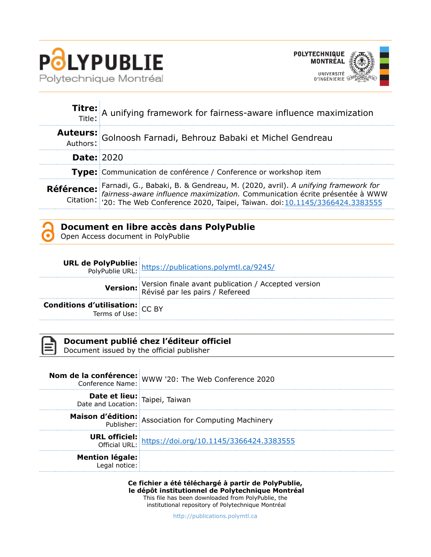



|                   | Titre: A unifying framework for fairness-aware influence maximization<br>Title:                                                                                                                                                      |  |
|-------------------|--------------------------------------------------------------------------------------------------------------------------------------------------------------------------------------------------------------------------------------|--|
|                   | Auteurs: Golnoosh Farnadi, Behrouz Babaki et Michel Gendreau                                                                                                                                                                         |  |
| <b>Date: 2020</b> |                                                                                                                                                                                                                                      |  |
|                   | Type: Communication de conférence / Conference or workshop item                                                                                                                                                                      |  |
|                   | Référence: Farnadi, G., Babaki, B. & Gendreau, M. (2020, avril). A unifying framework for<br>fairness-aware influence maximization. Communication écrite présentée à WWW<br>Citation: 20: The Web Conference 2020, Taipei, Taiwan. d |  |

## **Document en libre accès dans PolyPublie**

Open Access document in PolyPublie

|                                                        | <b>URL de PolyPublie:</b><br>PolyPublie URL: https://publications.polymtl.ca/9245/                     |
|--------------------------------------------------------|--------------------------------------------------------------------------------------------------------|
|                                                        | <b>Version:</b> Version finale avant publication / Accepted version<br>Révisé par les pairs / Refereed |
| <b>Conditions d'utilisation:</b> $CC$ BY Terms of Use: |                                                                                                        |



## **Document publié chez l'éditeur officiel**

Document issued by the official publisher

|                                                                          | <b>Nom de la conférence:</b><br>Conference Name: WWW '20: The Web Conference 2020                       |
|--------------------------------------------------------------------------|---------------------------------------------------------------------------------------------------------|
| <b>Date et lieu:</b> Taipei, Taiwan<br>Date and Location: Taipei, Taiwan |                                                                                                         |
|                                                                          | Maison d'édition: Association for Computing Machinery<br>Publisher: Association for Computing Machinery |
|                                                                          | <b>URL officiel:</b><br>Official URL: https://doi.org/10.1145/3366424.3383555                           |
| <b>Mention légale:</b><br>Legal notice:                                  |                                                                                                         |
|                                                                          |                                                                                                         |

**Ce fichier a été téléchargé à partir de PolyPublie, le dépôt institutionnel de Polytechnique Montréal**

This file has been downloaded from PolyPublie, the institutional repository of Polytechnique Montréal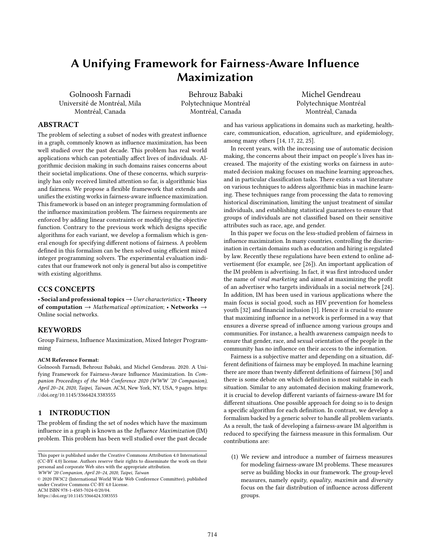# A Unifying Framework for Fairness-Aware Influence Maximization

Golnoosh Farnadi Université de Montréal, Mila Montréal, Canada

Behrouz Babaki Polytechnique Montréal Montréal, Canada

Michel Gendreau Polytechnique Montréal Montréal, Canada

## ABSTRACT

The problem of selecting a subset of nodes with greatest influence in a graph, commonly known as influence maximization, has been well studied over the past decade. This problem has real world applications which can potentially affect lives of individuals. Algorithmic decision making in such domains raises concerns about their societal implications. One of these concerns, which surprisingly has only received limited attention so far, is algorithmic bias and fairness. We propose a flexible framework that extends and unifies the existing works in fairness-aware influence maximization. This framework is based on an integer programming formulation of the influence maximization problem. The fairness requirements are enforced by adding linear constraints or modifying the objective function. Contrary to the previous work which designs specific algorithms for each variant, we develop a formalism which is general enough for specifying different notions of fairness. A problem defined in this formalism can be then solved using efficient mixed integer programming solvers. The experimental evaluation indicates that our framework not only is general but also is competitive with existing algorithms.

## CCS CONCEPTS

• Social and professional topics  $\rightarrow$  User characteristics; • Theory of computation  $\rightarrow$  Mathematical optimization; • Networks  $\rightarrow$ Online social networks.

### KEYWORDS

Group Fairness, Influence Maximization, Mixed Integer Programming

#### ACM Reference Format:

Golnoosh Farnadi, Behrouz Babaki, and Michel Gendreau. 2020. A Unifying Framework for Fairness-Aware Influence Maximization. In Companion Proceedings of the Web Conference 2020 (WWW '20 Companion), April 20–24, 2020, Taipei, Taiwan. ACM, New York, NY, USA, [9](#page-9-0) pages. [https:](https://doi.org/10.1145/3366424.3383555) [//doi.org/10.1145/3366424.3383555](https://doi.org/10.1145/3366424.3383555)

## 1 INTRODUCTION

The problem of finding the set of nodes which have the maximum influence in a graph is known as the Influence Maximization (IM) problem. This problem has been well studied over the past decade

```
WWW '20 Companion, April 20–24, 2020, Taipei, Taiwan
```
© 2020 IW3C2 (International World Wide Web Conference Committee), published under Creative Commons CC-BY 4.0 License. ACM ISBN 978-1-4503-7024-0/20/04.

<https://doi.org/10.1145/3366424.3383555>

and has various applications in domains such as marketing, healthcare, communication, education, agriculture, and epidemiology, among many others [\[14,](#page-9-1) [17,](#page-9-2) [22,](#page-9-3) [25\]](#page-9-4).

In recent years, with the increasing use of automatic decision making, the concerns about their impact on people's lives has increased. The majority of the existing works on fairness in automated decision making focuses on machine learning approaches, and in particular classification tasks. There exists a vast literature on various techniques to address algorithmic bias in machine learning. These techniques range from processing the data to removing historical discrimination, limiting the unjust treatment of similar individuals, and establishing statistical guarantees to ensure that groups of individuals are not classified based on their sensitive attributes such as race, age, and gender.

In this paper we focus on the less-studied problem of fairness in influence maximization. In many countries, controlling the discrimination in certain domains such as education and hiring is regulated by law. Recently these regulations have been extend to online advertisement (for example, see [\[26\]](#page-9-5)). An important application of the IM problem is advertising. In fact, it was first introduced under the name of viral marketing and aimed at maximizing the profit of an advertiser who targets individuals in a social network [\[24\]](#page-9-6). In addition, IM has been used in various applications where the main focus is social good, such as HIV prevention for homeless youth [\[32\]](#page-9-7) and financial inclusion [\[1\]](#page-8-0). Hence it is crucial to ensure that maximizing influence in a network is performed in a way that ensures a diverse spread of influence among various groups and communities. For instance, a health awareness campaign needs to ensure that gender, race, and sexual orientation of the people in the community has no influence on their access to the information.

Fairness is a subjective matter and depending on a situation, different definitions of fairness may be employed. In machine learning there are more than twenty different definitions of fairness [\[30\]](#page-9-8) and there is some debate on which definition is most suitable in each situation. Similar to any automated decision making framework, it is crucial to develop different variants of fairness-aware IM for different situations. One possible approach for doing so is to design a specific algorithm for each definition. In contrast, we develop a formalism backed by a generic solver to handle all problem variants. As a result, the task of developing a fairness-aware IM algorithm is reduced to specifying the fairness measure in this formalism. Our contributions are:

(1) We review and introduce a number of fairness measures for modeling fairness-aware IM problems. These measures serve as building blocks in our framework. The group-level measures, namely equity, equality, maximin and diversity focus on the fair distribution of influence across different groups.

This paper is published under the Creative Commons Attribution 4.0 International (CC-BY 4.0) license. Authors reserve their rights to disseminate the work on their personal and corporate Web sites with the appropriate attribution.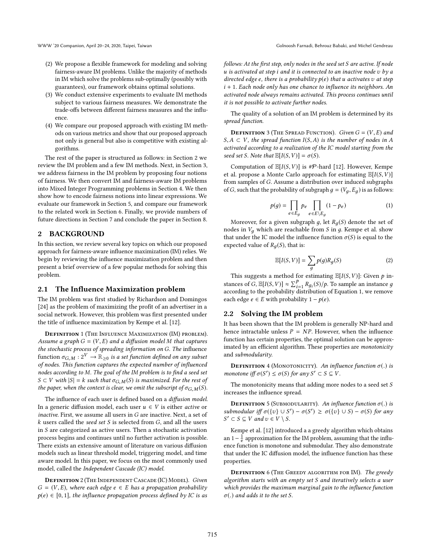- (2) We propose a flexible framework for modeling and solving fairness-aware IM problems. Unlike the majority of methods in IM which solve the problems sub-optimally (possibly with guarantees), our framework obtains optimal solutions.
- (3) We conduct extensive experiments to evaluate IM methods subject to various fairness measures. We demonstrate the trade-offs between different fairness measures and the influence.
- (4) We compare our proposed approach with existing IM methods on various metrics and show that our proposed approach not only is general but also is competitive with existing algorithms.

The rest of the paper is structured as follows: in Section [2](#page-2-0) we review the IM problem and a few IM methods. Next, in Section [3,](#page-3-0) we address fairness in the IM problem by proposing four notions of fairness. We then convert IM and fairness-aware IM problems into Mixed Integer Programming problems in Section [4.](#page-3-1) We then show how to encode fairness notions into linear expressions. We evaluate our framework in Section [5,](#page-4-0) and compare our framework to the related work in Section [6.](#page-7-0) Finally, we provide numbers of future directions in Section [7](#page-8-1) and conclude the paper in Section [8.](#page-8-2)

## <span id="page-2-0"></span>2 BACKGROUND

In this section, we review several key topics on which our proposed approach for fairness-aware influence maximization (IM) relies. We begin by reviewing the influence maximization problem and then present a brief overview of a few popular methods for solving this problem.

## 2.1 The Influence Maximization problem

The IM problem was first studied by Richardson and Domingos [\[24\]](#page-9-6) as the problem of maximizing the profit of an advertiser in a social network. However, this problem was first presented under the title of influence maximization by Kempe et al. [\[12\]](#page-9-9).

DEFINITION 1 (THE INFLUENCE MAXIMIZATION (IM) PROBLEM). Assume a graph  $G = (V, E)$  and a diffusion model M that captures the stochastic process of spreading information on G. The influence function  $\sigma_{G,M}: 2^V \to \mathbb{R}_{\geq 0}$  is a set function defined on any subset of nodes. This function captures the expected number of influenced nodes according to M. The goal of the IM problem is to find a seed set  $S \subset V$  with  $|S| = k$  such that  $\sigma_{G,M}(S)$  is maximized. For the rest of the paper, when the context is clear, we omit the subscript of  $\sigma_{G,M}(S)$ .

The influence of each user is defined based on a diffusion model. In a generic diffusion model, each user  $u \in V$  is either *active* or inactive. First, we assume all users in G are inactive. Next, a set of  $k$  users called the seed set  $S$  is selected from  $G$ , and all the users in S are categorized as active users. Then a stochastic activation process begins and continues until no further activation is possible. There exists an extensive amount of literature on various diffusion models such as linear threshold model, triggering model, and time aware model. In this paper, we focus on the most commonly used model, called the Independent Cascade (IC) model.

DEFINITION 2 (THE INDEPENDENT CASCADE (IC) MODEL). Given  $G = (V, E)$ , where each edge  $e \in E$  has a propagation probability  $p(e) \in [0, 1]$ , the influence propagation process defined by IC is as follows: At the first step, only nodes in the seed set S are active. If node  $u$  is activated at step i and it is connected to an inactive node  $v$  by a directed edge e, there is a probability  $p(e)$  that u activates v at step  $i + 1$ . Each node only has one chance to influence its neighbors. An activated node always remains activated. This process continues until it is not possible to activate further nodes.

The quality of a solution of an IM problem is determined by its spread function.

**DEFINITION** 3 (THE SPREAD FUNCTION). Given  $G = (V, E)$  and  $S, A \subset V$ , the spread function  $I(S, A)$  is the number of nodes in A activated according to a realization of the IC model starting from the seed set S. Note that  $\mathbb{E}[I(S, V)] = \sigma(S)$ .

Computation of  $\mathbb{E}[I(S, V)]$  is #P-hard [\[12\]](#page-9-9). However, [Kempe](#page-9-9) [et al.](#page-9-9) propose a Monte Carlo approach for estimating  $\mathbb{E}[I(S, V)]$ from samples of G. Assume a distribution over induced subgraphs of G, such that the probability of subgraph  $g = (V_q, E_q)$  is as follows:

<span id="page-2-1"></span>
$$
p(g) = \prod_{e \in E_g} p_e \prod_{e \in E \setminus E_g} (1 - p_e)
$$
 (1)

Moreover, for a given subgraph g, let  $R_q(S)$  denote the set of nodes in  $V_q$  which are reachable from S in g. [Kempe et al.](#page-9-9) show that under the IC model the influence function  $\sigma(S)$  is equal to the expected value of  $R<sub>a</sub>(S)$ , that is:

$$
\mathbb{E}[I(S, V)] = \sum_{g} p(g) R_g(S)
$$
 (2)

This suggests a method for estimating  $\mathbb{E}[I(S, V)]$ : Given p in-<br>necessary  $\mathbb{E}[I(S, V)] \propto \sum P P P (S) / R$ . To semple an instance a stances of G,  $\mathbb{E}[I(S, V)] \approx \sum_{i=1}^{p} R_{gi}(S)/p$ . To sample an instance g<br>according to the probability distribution of Equation 1, we remove stances of  $G$ ,  $\mathbb{E}[I(S, V)] \propto \sum_{i=1}^{N} N g_i(S)/p$ . To sample all instance y<br>according to the probability distribution of Equation [1,](#page-2-1) we remove each edge  $e \in E$  with probability  $1 - p(e)$ .

## 2.2 Solving the IM problem

It has been shown that the IM problem is generally NP-hard and hence intractable unless  $P = NP$ . However, when the influence function has certain properties, the optimal solution can be approximated by an efficient algorithm. These properties are monotonicity and submodularity.

**DEFINITION** 4 (MONOTONICITY). An influence function  $\sigma(.)$  is monotone iff  $\sigma(S') \leq \sigma(S)$  for any  $S' \subset S \subseteq V$ .

The monotonicity means that adding more nodes to a seed set  $S$ increases the influence spread.

**DEFINITION** 5 (SUBMODULARITY). An influence function  $\sigma(.)$  is submodular iff  $\sigma({v} \cup S') - \sigma(S') \ge \sigma({v} \cup S) - \sigma(S)$  for any  $S' \subset S \subset V$  and  $v \in V \setminus S$  $S' \subset S \subseteq V$  and  $v \in V \setminus S$ .

Kempe et al. [\[12\]](#page-9-9) introduced a a greedy algorithm which obtains an  $1-\frac{1}{e}$  approximation for the IM problem, assuming that the influence function is monotone and submodular. They also demonstrate that under the IC diffusion model, the influence function has these properties.

DEFINITION 6 (THE GREEDY ALGORITHM FOR IM). The greedy algorithm starts with an empty set S and iteratively selects a user which provides the maximum marginal gain to the influence function  $\sigma(.)$  and adds it to the set S.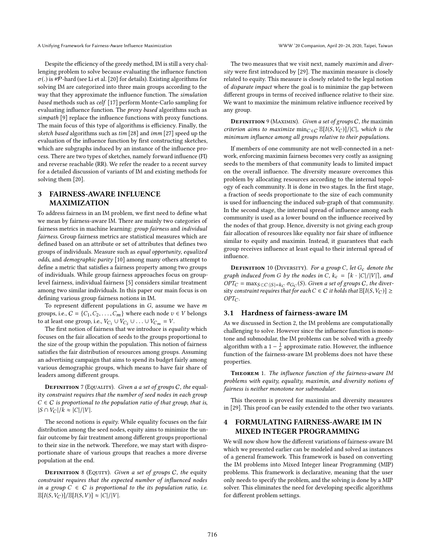A Unifying Framework for Fairness-Aware Influence Maximization WWW '20 Companion, April 20–24, 2020, Taipei, Taiwan

Despite the efficiency of the greedy method, IM is still a very challenging problem to solve because evaluating the influence function  $\sigma(.)$  is #P-hard (see Li et al. [\[20\]](#page-9-10) for details). Existing algorithms for solving IM are categorized into three main groups according to the way that they approximate the influence function. The simulation based methods such as celf [\[17\]](#page-9-2) perform Monte-Carlo sampling for evaluating influence function. The proxy based algorithms such as simpath [\[9\]](#page-8-3) replace the influence functions with proxy functions. The main focus of this type of algorithms is efficiency. Finally, the sketch based algorithms such as tim [\[28\]](#page-9-11) and imm [\[27\]](#page-9-12) speed up the evaluation of the influence function by first constructing sketches, which are subgraphs induced by an instance of the influence process. There are two types of sketches, namely forward influence (FI) and reverse reachable (RR). We refer the reader to a recent survey for a detailed discussion of variants of IM and existing methods for solving them [\[20\]](#page-9-10).

## <span id="page-3-0"></span>3 FAIRNESS-AWARE INFLUENCE MAXIMIZATION

To address fairness in an IM problem, we first need to define what we mean by fairness-aware IM. There are mainly two categories of fairness metrics in machine learning: group fairness and individual fairness. Group fairness metrics are statistical measures which are defined based on an attribute or set of attributes that defines two groups of individuals. Measure such as equal opportunity, equalized odds, and demographic parity [\[10\]](#page-8-4) among many others attempt to define a metric that satisfies a fairness property among two groups of individuals. While group fairness approaches focus on grouplevel fairness, individual fairness [\[5\]](#page-8-5) considers similar treatment among two similar individuals. In this paper our main focus is on defining various group fairness notions in IM.

To represent different populations in  $G$ , assume we have  $m$ groups, i.e.,  $C = \{C_1, C_2, \ldots, C_m\}$  where each node  $v \in V$  belongs to at least one group, i.e.,  $V_{C_1} \cup V_{C_2} \cup \ldots \cup V_{C_m} = V$ .

The first notion of fairness that we introduce is *equality* which focuses on the fair allocation of seeds to the groups proportional to the size of the group within the population. This notion of fairness satisfies the fair distribution of resources among groups. Assuming an advertising campaign that aims to spend its budget fairly among various demographic groups, which means to have fair share of leaders among different groups.

**DEFINITION** 7 (EQUALITY). Given a a set of groups  $C$ , the equality constraint requires that the number of seed nodes in each group  $C \in \mathcal{C}$  is proportional to the population ratio of that group, that is,  $|S \cap V_C|/k \approx |C|/|V|.$ 

The second notions is equity. While equality focuses on the fair distribution among the seed nodes, equity aims to minimize the unfair outcome by fair treatment among different groups proportional to their size in the network. Therefore, we may start with disproportionate share of various groups that reaches a more diverse population at the end.

**DEFINITION** 8 (EQUITY). Given a set of groups  $C$ , the equity constraint requires that the expected number of influenced nodes in a group  $C \in C$  is proportional to the its population ratio, i.e.  $\mathbb{E}[I(S, V_C)] / \mathbb{E}[I(S, V)] \approx |C| / |V|.$ 

The two measures that we visit next, namely maximin and diversity were first introduced by [\[29\]](#page-9-13). The maximin measure is closely related to equity. This measure is closely related to the legal notion of disparate impact where the goal is to minimize the gap between different groups in terms of received influence relative to their size. We want to maximize the minimum relative influence received by any group.

**DEFINITION** 9 (MAXIMIN). Given a set of groups C, the maximin criterion aims to maximize min $_{C\in C}$   $\mathbb{E}[I(S, V_C)]/|C|$ , which is the minimum influence among all groups relative to their populations.

If members of one community are not well-connected in a network, enforcing maximin fairness becomes very costly as assigning seeds to the members of that community leads to limited impact on the overall influence. The diversity measure overcomes this problem by allocating resources according to the internal topology of each community. It is done in two stages. In the first stage, a fraction of seeds proportionate to the size of each community is used for influencing the induced sub-graph of that community. In the second stage, the internal spread of influence among each community is used as a lower bound on the influence received by the nodes of that group. Hence, diversity is not giving each group fair allocation of resources like equality nor fair share of influence similar to equity and maximin. Instead, it guarantees that each group receives influence at least equal to their internal spread of influence.

**DEFINITION** 10 (DIVERSITY). For a group C, let  $G_c$  denote the graph induced from G by the nodes in C,  $k_c = [k \cdot |C|/|V|]$ , and  $OPT_C = \max_{S \subset C: |S| = k_C} \sigma_{G_C}(S)$ . Given a set of groups C, the diver-<br>sity constraint requires that for each  $C \in C$  it holds that  $\mathbb{E}[I(S, V_C)] >$  $G \cdot T_C$  = maxs cC:|S|=k<sub>C</sub> σ<sub>GC</sub>(σ). Given a set of groups C, the diversity constraint requires that for each C ∈ C it holds that  $\mathbb{E}[I(S, V_C)]$  ≥ OPT  $OPT_C$ .

## 3.1 Hardness of fairness-aware IM

As we discussed in Section [2,](#page-2-0) the IM problems are computationally challenging to solve. However since the influence function is monotone and submodular, the IM problems can be solved with a greedy algorithm with a 1 –  $\frac{1}{e}$  approximate ratio. However, the influence function of the fairness-aware IM problems does not have these properties.

THEOREM 1. The influence function of the fairness-aware IM problems with equity, equality, maximin, and diversity notions of fairness is neither monotone nor submodular.

This theorem is proved for maximin and diversity measures in [\[29\]](#page-9-13). This proof can be easily extended to the other two variants.

## <span id="page-3-1"></span>4 FORMULATING FAIRNESS-AWARE IM IN MIXED INTEGER PROGRAMMING

We will now show how the different variations of fairness-aware IM which we presented earlier can be modeled and solved as instances of a general framework. This framework is based on converting the IM problems into Mixed Integer linear Programming (MIP) problems. This framework is declarative, meaning that the user only needs to specify the problem, and the solving is done by a MIP solver. This eliminates the need for developing specific algorithms for different problem settings.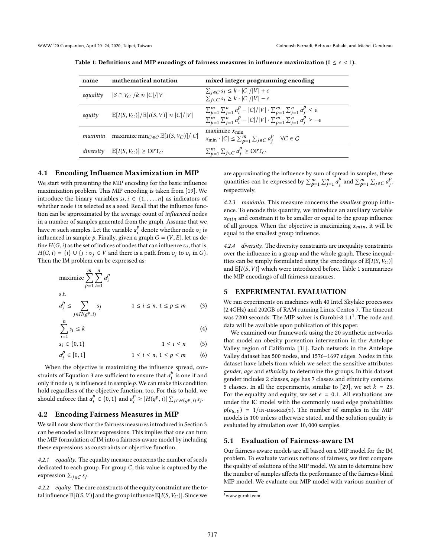| name      | mathematical notation                                           | mixed integer programming encoding                                                                                                                                                                       |
|-----------|-----------------------------------------------------------------|----------------------------------------------------------------------------------------------------------------------------------------------------------------------------------------------------------|
| equality  | $ S \cap V_C /k \approx  C / V $                                | $\sum_{j \in C} s_j \leq k \cdot  C / V  + \epsilon$<br>$\sum_{j\in C} s_j \geq k\cdot  C / V  - \epsilon$                                                                                               |
| equity    | $\mathbb{E}[I(S, V_C)] / \mathbb{E}[I(S, V)] \approx  C  /  V $ | $\sum_{p=1}^{m} \sum_{i=1}^{n} a_i^p -  C / V  \cdot \sum_{p=1}^{m} \sum_{i=1}^{n} a_i^p \leq \epsilon$<br>$\sum_{p=1}^m\sum_{j=1}^n a_i^p -  C / V  \cdot \sum_{p=1}^m\sum_{i=1}^n a_i^p \ge -\epsilon$ |
| maximin   | maximize min $C \in C$ $\mathbb{E}[I(S, V_C)]/ C $              | maximize $x_{\min}$<br>$x_{\min} \cdot  C  \le \sum_{p=1}^m \sum_{j \in C} a_j^p$ $\forall C \in C$                                                                                                      |
| diversity | $\mathbb{E}[I(S, V_C)] \geq \text{OPT}_C$                       | $\sum_{p=1}^m \sum_{j \in C} a_j^p \ge \text{OPT}_C$                                                                                                                                                     |
|           |                                                                 |                                                                                                                                                                                                          |

<span id="page-4-2"></span>Table 1: Definitions and MIP encodings of fairness measures in influence maximization ( $0 \le \epsilon < 1$ ).

## 4.1 Encoding Influence Maximization in MIP

We start with presenting the MIP encoding for the basic influence maximization problem. This MIP encoding is taken from [\[19\]](#page-9-14). We introduce the binary variables  $s_i, i \in \{1, \ldots, n\}$  as indicators of whether node *i* is selected as a seed. Becall that the influence funcwhether node  $i$  is selected as a seed. Recall that the influence function can be approximated by the average count of influenced nodes in a number of samples generated from the graph. Assume that we have *m* such samples. Let the variable  $a_i^p$  denote whether node  $v_i$  is influenced in sample  $b$ . Finally, given a graph  $G = (V, F)$ , let us deinfluenced in sample p. Finally, given a graph  $G = (V, E)$ , let us define  $H(G, i)$  as the set of indices of nodes that can influence  $v_i$ , that is fine  $H(G, i)$  as the set of indices of nodes that can influence  $v_i$ , that is,  $H(G, i) = \{i\} \cup \{i : \mathcal{I} \in V$  and there is a path from  $v_i$ , to  $v_i$ , in  $G$  $H(G, i) = \{i\} \cup \{j : v_j \in V \text{ and there is a path from } v_j \text{ to } v_i \text{ in } G\}.$ <br>Then the IM problem can be expressed as: Then the IM problem can be expressed as:

$$
\begin{aligned}\n\text{maximize} & \sum_{p=1}^{m} \sum_{i=1}^{n} a_i^p \\
\text{s.t.} \\
a_i^p &\leq \sum_{j \in H(g^p, i)} s_j \qquad 1 \leq i \leq n, \ 1 \leq p \leq m \qquad (3)\n\end{aligned}
$$

$$
\sum_{i=1}^{n} s_i \le k \tag{4}
$$

 $s_i \in \{0, 1\}$  1  $\le i \le n$  (5)

$$
a_i^p \in [0,1] \qquad \qquad 1 \le i \le n, \ 1 \le p \le m \qquad (6)
$$

i When the objective is maximizing the influence spread, con-straints of Equation [3](#page-4-1) are sufficient to ensure that  $a_i^{\nu}$  is one if and<br>only if node  $\nu$  is influenced in sample 0. We can make this condition only if node  $v_i$  is influenced in sample p. We can make this condition<br>hold regardless of the objective function, too. For this to hold, we hold regardless of the objective function, too. For this to hold, we should enforce that  $a_i^p \in \{0, 1\}$  and  $a_i^p \geq |H(g^p, i)| \sum_{j \in H(g^p, i)} s_j$ .

## 4.2 Encoding Fairness Measures in MIP

We will now show that the fairness measures introduced in Section [3](#page-3-0) can be encoded as linear expressions. This implies that one can turn the MIP formulation of IM into a fairness-aware model by including these expressions as constraints or objective function.

4.2.1 equality. The equality measure concerns the number of seeds dedicated to each group. For group  $C$ , this value is captured by the expression  $\sum_{j \in C} s_j$ .

4.2.2 equity. The core constructs of the equity constraint are the total influence  $\mathbb{E}[I(S, V)]$  and the group influence  $\mathbb{E}[I(S, V_C)]$ . Since we

are approximating the influence by sum of spread in samples, these quantities can be expressed by  $\sum_{p=1}^{m} \sum_{j=1}^{n} a_j^p$  and  $\sum_{p=1}^{m} \sum_{j \in C} a_j^p$ ,<br>respectively. j j respectively.

4.2.3 maximin. This measure concerns the smallest group influence. To encode this quantity, we introduce an auxiliary variable  $x_{min}$  and constrain it to be smaller or equal to the group influence of all groups. When the objective is maximizing  $x_{min}$ , it will be equal to the smallest group influence.

4.2.4 diversity. The diversity constraints are inequality constraints over the influence in a group and the whole graph. These inequalities can be simply formulated using the encodings of  $\mathbb{E}[I(S, V_C)]$ and  $\mathbb{E}[I(S, V)]$  which were introduced before. Table [1](#page-4-2) summarizes the MIP encodings of all fairness measures.

## <span id="page-4-0"></span>5 EXPERIMENTAL EVALUATION

<span id="page-4-1"></span>We ran experiments on machines with 40 Intel Skylake processors (2.4GHz) and 202GB of RAM running Linux Centos 7. The timeout was 7200 seconds. The MIP solver is Gurobi-8.[1](#page-4-3).1<sup>1</sup>. The code and data will be available upon publication of this paper.

We examined our framework using the 20 synthetic networks that model an obesity prevention intervention in the Antelope Valley region of California [\[31\]](#page-9-15). Each network in the Antelope Valley dataset has 500 nodes, and 1576–1697 edges. Nodes in this dataset have labels from which we select the sensitive attributes gender, age and ethnicity to determine the groups. In this dataset gender includes 2 classes, age has 7 classes and ethnicity contains 5 classes. In all the experiments, similar to [\[29\]](#page-9-13), we set  $k = 25$ . For the equality and equity, we set  $\epsilon = 0.1$ . All evaluations are under the IC model with the commonly used edge probabilities  $p(e_{u,v}) = 1/\text{IN-DEGREE}(v)$ . The number of samples in the MIP models is 100 unless otherwise stated, and the solution quality is evaluated by simulation over <sup>10</sup>, <sup>000</sup> samples.

#### 5.1 Evaluation of Fairness-aware IM

Our fairness-aware models are all based on a MIP model for the IM problem. To evaluate various notions of fairness, we first compare the quality of solutions of the MIP model. We aim to determine how the number of samples affects the performance of the fairness-blind MIP model. We evaluate our MIP model with various number of

<span id="page-4-3"></span><sup>1</sup><www.gurobi.com>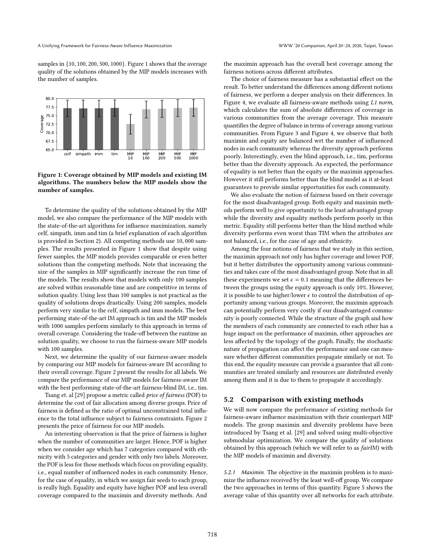samples in {10, <sup>100</sup>, <sup>200</sup>, <sup>500</sup>, <sup>1000</sup>}. Figure [1](#page-5-0) shows that the average quality of the solutions obtained by the MIP models increases with the number of samples.

<span id="page-5-0"></span>

Figure 1: Coverage obtained by MIP models and existing IM algorithms. The numbers below the MIP models show the number of samples.

To determine the quality of the solutions obtained by the MIP model, we also compare the performance of the MIP models with the state-of-the-art algorithms for influence maximization, namely celf, simpath, imm and tim (a brief explanation of each algorithm is provided in Section [2\)](#page-2-0). All competing methods use <sup>10</sup>, <sup>000</sup> samples. The results presented in Figure [1](#page-5-0) show that despite using fewer samples, the MIP models provides comparable or even better solutions than the competing methods. Note that increasing the size of the samples in MIP significantly increase the run time of the models. The results show that models with only 100 samples are solved within reasonable time and are competitive in terms of solution quality. Using less than 100 samples is not practical as the quality of solutions drops drastically. Using 200 samples, models perform very similar to the celf, simpath and imm models. The best performing state-of-the-art IM approach is tim and the MIP models with 1000 samples perform similarly to this approach in terms of overall coverage. Considering the trade-off between the runtime an solution quality, we choose to run the fairness-aware MIP models with 100 samples.

Next, we determine the quality of our fairness-aware models by comparing our MIP models for fairness-aware IM according to their overall coverage. Figure [2](#page-6-0) present the results for all labels. We compare the performance of our MIP models for fairness-aware IM with the best performing state-of-the-art fairness-blind IM, i.e., tim.

Tsang et. al [\[29\]](#page-9-13) propose a metric called price of fairness (POF) to determine the cost of fair allocation among diverse groups. Price of fairness is defined as the ratio of optimal unconstrained total influence to the total influence subject to fairness constraints. Figure [2](#page-6-0) presents the price of fairness for our MIP models.

An interesting observation is that the price of fairness is higher when the number of communities are larger. Hence, POF is higher when we consider age which has 7 categories compared with ethnicity with 5 categories and gender with only two labels. Moreover, the POF is less for those methods which focus on providing equality, i.e., equal number of influenced nodes in each community. Hence, for the case of equality, in which we assign fair seeds to each group, is really high. Equality and equity have higher POF and less overall coverage compared to the maximin and diversity methods. And

the maximin approach has the overall best coverage among the fairness notions across different attributes.

The choice of fairness measure has a substantial effect on the result. To better understand the differences among different notions of fairness, we perform a deeper analysis on their differences. In Figure [4,](#page-6-1) we evaluate all fairness-aware methods using L1 norm, which calculates the sum of absolute differences of coverage in various communities from the average coverage. This measure quantifies the degree of balance in terms of coverage among various communities. From Figure [3](#page-6-2) and Figure [4,](#page-6-1) we observe that both maximin and equity are balanced wrt the number of influenced nodes in each community whereas the diversity approach performs poorly. Interestingly, even the blind approach, i.e., tim, performs better than the diversity approach. As expected, the performance of equality is not better than the equity or the maximin approaches. However it still performs better than the blind model as it at-least guarantees to provide similar opportunities for each community.

We also evaluate the notion of fairness based on their coverage for the most disadvantaged group. Both equity and maximin methods perform well to give opportunity to the least advantaged group while the diversity and equality methods perform poorly in this metric. Equality still performs better than the blind method while diversity performs even worst than TIM when the attributes are not balanced, i.e., for the case of age and ethnicity.

Among the four notions of fairness that we study in this section, the maximin approach not only has higher coverage and lower POF, but it better distributes the opportunity among various communities and takes care of the most disadvantaged group. Note that in all these experiments we set  $\epsilon = 0.1$  meaning that the differences between the groups using the equity approach is only 10%. However, it is possible to use higher/lower  $\epsilon$  to control the distribution of opportunity among various groups. Moreover, the maximin approach can potentially perform very costly if our disadvantaged community is poorly connected. While the structure of the graph and how the members of each community are connected to each other has a huge impact on the performance of maximin, other approaches are less affected by the topology of the graph. Finally, the stochastic nature of propagation can affect the performance and one can measure whether different communities propagate similarly or not. To this end, the equality measure can provide a guarantee that all communities are treated similarly and resources are distributed evenly among them and it is due to them to propagate it accordingly.

## 5.2 Comparison with existing methods

We will now compare the performance of existing methods for fairness-aware influence maximization with their counterpart MIP models. The group maximin and diversity problems have been introduced by Tsang et al. [\[29\]](#page-9-13) and solved using multi-objective submodular optimization. We compare the quality of solutions obtained by this approach (which we will refer to as fairIM) with the MIP models of maximin and diversity.

5.2.1 Maximin. The objective in the maximin problem is to maximize the influence received by the least well-off group. We compare the two approaches in terms of this quantity. Figure [5](#page-7-1) shows the average value of this quantity over all networks for each attribute.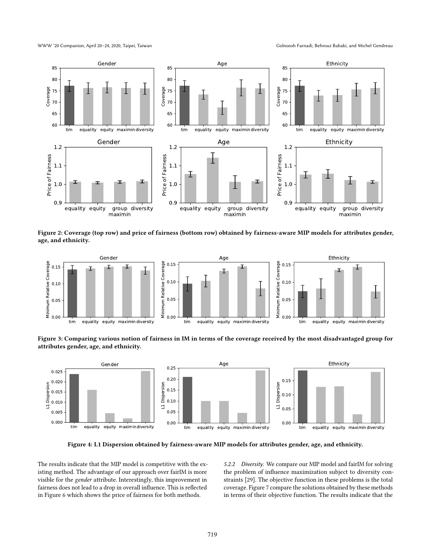WWW '20 Companion, April 20-24, 2020, Taipei, Taiwan Golnoosh Farnadi, Behrouz Babaki, and Michel Gendreau

<span id="page-6-0"></span>

Figure 2: Coverage (top row) and price of fairness (bottom row) obtained by fairness-aware MIP models for attributes gender, age, and ethnicity.

<span id="page-6-2"></span>

Figure 3: Comparing various notion of fairness in IM in terms of the coverage received by the most disadvantaged group for attributes gender, age, and ethnicity.

<span id="page-6-1"></span>

Figure 4: L1 Dispersion obtained by fairness-aware MIP models for attributes gender, age, and ethnicity.

The results indicate that the MIP model is competitive with the existing method. The advantage of our approach over fairIM is more visible for the gender attribute. Interestingly, this improvement in fairness does not lead to a drop in overall influence. This is reflected in Figure [6](#page-7-2) which shows the price of fairness for both methods.

5.2.2 Diversity. We compare our MIP model and fairIM for solving the problem of influence maximization subject to diversity constraints [\[29\]](#page-9-13). The objective function in these problems is the total coverage. Figure [7](#page-7-3) compare the solutions obtained by these methods in terms of their objective function. The results indicate that the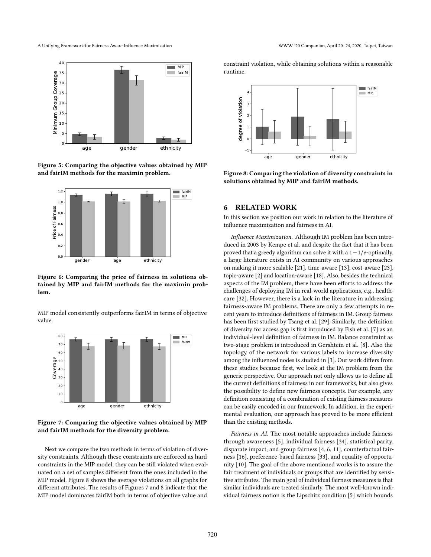A Unifying Framework for Fairness-Aware Influence Maximization WWW '20 Companion, April 20–24, 2020, Taipei, Taiwan

<span id="page-7-1"></span>

Figure 5: Comparing the objective values obtained by MIP and fairIM methods for the maximin problem.

<span id="page-7-2"></span>

Figure 6: Comparing the price of fairness in solutions obtained by MIP and fairIM methods for the maximin problem.

MIP model consistently outperforms fairIM in terms of objective value.

<span id="page-7-3"></span>

Figure 7: Comparing the objective values obtained by MIP and fairIM methods for the diversity problem.

Next we compare the two methods in terms of violation of diversity constraints. Although these constraints are enforced as hard constraints in the MIP model, they can be still violated when evaluated on a set of samples different from the ones included in the MIP model. Figure [8](#page-7-4) shows the average violations on all graphs for different attributes. The results of Figures [7](#page-7-3) and [8](#page-7-4) indicate that the MIP model dominates fairIM both in terms of objective value and

constraint violation, while obtaining solutions within a reasonable runtime.

<span id="page-7-4"></span>

Figure 8: Comparing the violation of diversity constraints in solutions obtained by MIP and fairIM methods.

## <span id="page-7-0"></span>6 RELATED WORK

In this section we position our work in relation to the literature of influence maximization and fairness in AI.

Influence Maximization. Although IM problem has been introduced in 2003 by [Kempe et al.](#page-9-9) and despite the fact that it has been proved that a greedy algorithm can solve it with a  $1 - 1/e$ -optimally, a large literature exists in AI community on various approaches on making it more scalable [\[21\]](#page-9-16), time-aware [\[13\]](#page-9-17), cost-aware [\[23\]](#page-9-18), topic-aware [\[2\]](#page-8-6) and location-aware [\[18\]](#page-9-19). Also, besides the technical aspects of the IM problem, there have been efforts to address the challenges of deploying IM in real-world applications, e.g., healthcare [\[32\]](#page-9-7). However, there is a lack in the literature in addressing fairness-aware IM problems. There are only a few attempts in recent years to introduce definitions of fairness in IM. Group fairness has been first studied by Tsang et al. [\[29\]](#page-9-13). Similarly, the definition of diversity for access gap is first introduced by Fish et al. [\[7\]](#page-8-7) as an individual-level definition of fairness in IM. Balance constraint as two-stage problem is introduced in Gershtein et al. [\[8\]](#page-8-8). Also the topology of the network for various labels to increase diversity among the influenced nodes is studied in [\[3\]](#page-8-9). Our work differs from these studies because first, we look at the IM problem from the generic perspective. Our approach not only allows us to define all the current definitions of fairness in our frameworks, but also gives the possibility to define new fairness concepts. For example, any definition consisting of a combination of existing fairness measures can be easily encoded in our framework. In addition, in the experimental evaluation, our approach has proved to be more efficient than the existing methods.

Fairness in AI. The most notable approaches include fairness through awareness [\[5\]](#page-8-5), individual fairness [\[34\]](#page-9-20), statistical parity, disparate impact, and group fairness [\[4,](#page-8-10) [6,](#page-8-11) [11\]](#page-8-12), counterfactual fairness [\[16\]](#page-9-21), preference-based fairness [\[33\]](#page-9-22), and equality of opportunity [\[10\]](#page-8-4). The goal of the above mentioned works is to assure the fair treatment of individuals or groups that are identified by sensitive attributes. The main goal of individual fairness measures is that similar individuals are treated similarly. The most well-known individual fairness notion is the Lipschitz condition [\[5\]](#page-8-5) which bounds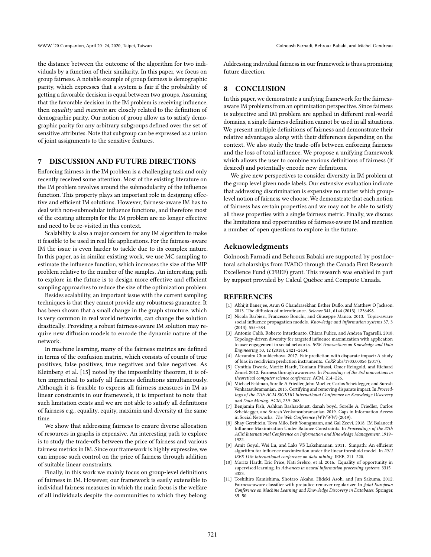the distance between the outcome of the algorithm for two individuals by a function of their similarity. In this paper, we focus on group fairness. A notable example of group fairness is demographic parity, which expresses that a system is fair if the probability of getting a favorable decision is equal between two groups. Assuming that the favorable decision in the IM problem is receiving influence, then equality and maxmin are closely related to the definition of demographic parity. Our notion of group allow us to satisfy demographic parity for any arbitrary subgroups defined over the set of sensitive attributes. Note that subgroup can be expressed as a union of joint assignments to the sensitive features.

## <span id="page-8-1"></span>7 DISCUSSION AND FUTURE DIRECTIONS

Enforcing fairness in the IM problem is a challenging task and only recently received some attention. Most of the existing literature on the IM problem revolves around the submodularity of the influence function. This property plays an important role in designing effective and efficient IM solutions. However, fairness-aware IM has to deal with non-submodular influence functions, and therefore most of the existing attempts for the IM problem are no longer effective and need to be re-visited in this context.

Scalability is also a major concern for any IM algorithm to make it feasible to be used in real life applications. For the fairness-aware IM the issue is even harder to tackle due to its complex nature. In this paper, as in similar existing work, we use MC sampling to estimate the influence function, which increases the size of the MIP problem relative to the number of the samples. An interesting path to explore in the future is to design more effective and efficient sampling approaches to reduce the size of the optimization problem.

Besides scalability, an important issue with the current sampling techniques is that they cannot provide any robustness guarantee. It has been shown that a small change in the graph structure, which is very common in real world networks, can change the solution drastically. Providing a robust fairness-aware IM solution may require new diffusion models to encode the dynamic nature of the network.

In machine learning, many of the fairness metrics are defined in terms of the confusion matrix, which consists of counts of true positives, false positives, true negatives and false negatives. As Kleinberg et al. [\[15\]](#page-9-23) noted by the impossibility theorem, it is often impractical to satisfy all fairness definitions simultaneously. Although it is feasible to express all fairness measures in IM as linear constraints in our framework, it is important to note that such limitation exists and we are not able to satisfy all definitions of fairness e.g., equality, equity, maximin and diversity at the same time.

We show that addressing fairness to ensure diverse allocation of resources in graphs is expensive. An interesting path to explore is to study the trade-offs between the price of fairness and various fairness metrics in IM. Since our framework is highly expressive, we can impose such control on the price of fairness through addition of suitable linear constraints.

Finally, in this work we mainly focus on group-level definitions of fairness in IM. However, our framework is easily extensible to individual fairness measures in which the main focus is the welfare of all individuals despite the communities to which they belong. Addressing individual fairness in our framework is thus a promising future direction.

## <span id="page-8-2"></span>8 CONCLUSION

In this paper, we demonstrate a unifying framework for the fairnessaware IM problems from an optimization perspective. Since fairness is subjective and IM problem are applied in different real-world domains, a single fairness definition cannot be used in all situations. We present multiple definitions of fairness and demonstrate their relative advantages along with their differences depending on the context. We also study the trade-offs between enforcing fairness and the loss of total influence. We propose a unifying framework which allows the user to combine various definitions of fairness (if desired) and potentially encode new definitions.

We give new perspectives to consider diversity in IM problem at the group level given node labels. Our extensive evaluation indicate that addressing discrimination is expensive no matter which grouplevel notion of fairness we choose. We demonstrate that each notion of fairness has certain properties and we may not be able to satisfy all these properties with a single fairness metric. Finally, we discuss the limitations and opportunities of fairness-aware IM and mention a number of open questions to explore in the future.

#### Acknowledgments

Golnoosh Farnadi and Behrouz Babaki are supported by postdoctoral scholarships from IVADO through the Canada First Research Excellence Fund (CFREF) grant. This research was enabled in part by support provided by Calcul Québec and Compute Canada.

## REFERENCES

- <span id="page-8-0"></span>[1] Abhijit Banerjee, Arun G Chandrasekhar, Esther Duflo, and Matthew O Jackson. 2013. The diffusion of microfinance. Science 341, 6144 (2013), 1236498.
- <span id="page-8-6"></span>[2] Nicola Barbieri, Francesco Bonchi, and Giuseppe Manco. 2013. Topic-aware social influence propagation models. Knowledge and information systems 37, 3 (2013), 555–584.
- <span id="page-8-9"></span>[3] Antonio Caliò, Roberto Interdonato, Chiara Pulice, and Andrea Tagarelli. 2018. Topology-driven diversity for targeted influence maximization with application to user engagement in social networks. IEEE Transactions on Knowledge and Data Engineering 30, 12 (2018), 2421–2434.
- <span id="page-8-10"></span>[4] Alexandra Chouldechova. 2017. Fair prediction with disparate impact: A study of bias in recidivism prediction instruments. CoRR abs/1703.00056 (2017).
- <span id="page-8-5"></span>[5] Cynthia Dwork, Moritz Hardt, Toniann Pitassi, Omer Reingold, and Richard Zemel. 2012. Fairness through awareness. In Proceedings of the 3rd innovations in theoretical computer science conference. ACM, 214–226.
- <span id="page-8-11"></span>[6] Michael Feldman, Sorelle A Friedler, John Moeller, Carlos Scheidegger, and Suresh Venkatasubramanian. 2015. Certifying and removing disparate impact. In Proceedings of the 21th ACM SIGKDD International Conference on Knowledge Discovery and Data Mining. ACM, 259–268.
- <span id="page-8-7"></span>[7] Benjamin Fish, Ashkan Bashardoust, danah boyd, Sorelle A. Friedler, Carlos Scheidegger, and Suresh Venkatasubramanian. 2019. Gaps in Information Access in Social Networks. The Web Conference (WWWW) (2019).
- <span id="page-8-8"></span>Shay Gershtein, Tova Milo, Brit Youngmann, and Gal Zeevi. 2018. IM Balanced: Influence Maximization Under Balance Constraints. In Proceedings of the 27th ACM International Conference on Information and Knowledge Management. 1919– 1922.
- <span id="page-8-3"></span>[9] Amit Goyal, Wei Lu, and Laks VS Lakshmanan. 2011. Simpath: An efficient algorithm for influence maximization under the linear threshold model. In 2011 IEEE 11th international conference on data mining. IEEE, 211–220.
- <span id="page-8-4"></span>[10] Moritz Hardt, Eric Price, Nati Srebro, et al. 2016. Equality of opportunity in supervised learning. In Advances in neural information processing systems. 3315-3323.
- <span id="page-8-12"></span>[11] Toshihiro Kamishima, Shotaro Akaho, Hideki Asoh, and Jun Sakuma. 2012. Fairness-aware classifier with prejudice remover regularizer. In Joint European Conference on Machine Learning and Knowledge Discovery in Databases. Springer, 35–50.